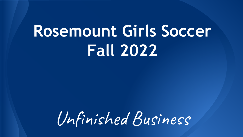# **Rosemount Girls Soccer Fall 2022**

Unfinished Business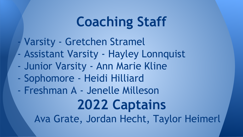## **Coaching Staff**

- Varsity Gretchen Stramel
- Assistant Varsity Hayley Lonnquist
- Junior Varsity Ann Marie Kline
- Sophomore Heidi Hilliard
- Freshman A Jenelle Milleson

**2022 Captains** Ava Grate, Jordan Hecht, Taylor Heimerl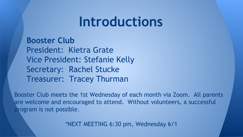#### **Introductions**

**Booster Club** President: Kietra Grate Vice President: Stefanie Kelly Secretary: Rachel Stucke Treasurer: Tracey Thurman

Booster Club meets the 1st Wednesday of each month via Zoom. All parents are welcome and encouraged to attend. Without volunteers, a successful program is not possible.

\*NEXT MEETING 6:30 pm, Wednesday 6/1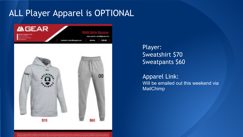#### ALL Player Apparel is OPTIONAL



Player: Sweatshirt \$70 Sweatpants \$60

Apparel Link: Will be emailed out this weekend via MailChimp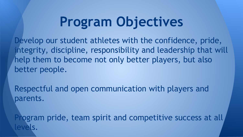## **Program Objectives**

Develop our student athletes with the confidence, pride, integrity, discipline, responsibility and leadership that will help them to become not only better players, but also better people.

Respectful and open communication with players and parents.

Program pride, team spirit and competitive success at all levels.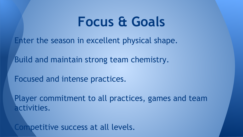### **Focus & Goals**

Enter the season in excellent physical shape.

Build and maintain strong team chemistry.

Focused and intense practices.

Player commitment to all practices, games and team activities.

Competitive success at all levels.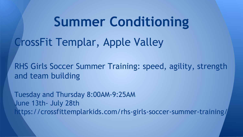**Summer Conditioning**

CrossFit Templar, Apple Valley

RHS Girls Soccer Summer Training: speed, agility, strength and team building

Tuesday and Thursday 8:00AM-9:25AM June 13th- July 28th https://crossfittemplarkids.com/rhs-girls-soccer-summer-training/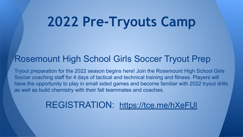## **2022 Pre-Tryouts Camp**

#### Rosemount High School Girls Soccer Tryout Prep

Tryout preparation for the 2022 season begins here! Join the Rosemount High School Girls Soccer coaching staff for 4 days of tactical and technical training and fitness. Players will have the opportunity to play in small sided games and become familiar with 2022 tryout drills as well as build chemistry with their fall teammates and coaches.

#### REGISTRATION: <https://tce.me/hXeFUl>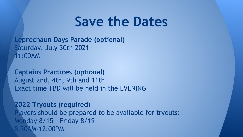#### **Save the Dates**

**Leprechaun Days Parade (optional)** Saturday, July 30th 2021 11:00AM

**Captains Practices (optional)** August 2nd, 4th, 9th and 11th Exact time TBD will be held in the EVENING

**2022 Tryouts (required)** Players should be prepared to be available for tryouts: Monday 8/15 - Friday 8/19 8:30AM-12:00PM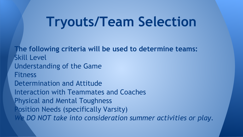### **Tryouts/Team Selection**

**The following criteria will be used to determine teams:** Skill Level Understanding of the Game **Fitness** Determination and Attitude Interaction with Teammates and Coaches Physical and Mental Toughness Position Needs (specifically Varsity) *We DO NOT take into consideration summer activities or play.*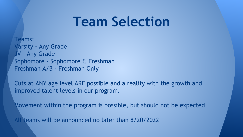#### **Team Selection**

Teams: Varsity - Any Grade JV - Any Grade Sophomore - Sophomore & Freshman Freshman A/B - Freshman Only

Cuts at ANY age level ARE possible and a reality with the growth and improved talent levels in our program.

Movement within the program is possible, but should not be expected.

All teams will be announced no later than 8/20/2022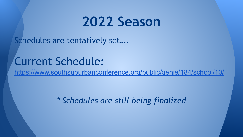#### **2022 Season**

Schedules are tentatively set….

#### Current Schedule:

https://www.southsuburbanconference.org/public/genie/184/school/10/

*\* Schedules are still being finalized*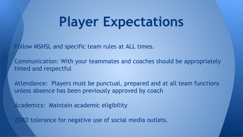## **Player Expectations**

Follow MSHSL and specific team rules at ALL times.

Communication: With your teammates and coaches should be appropriately timed and respectful

Attendance: Players must be punctual, prepared and at all team functions unless absence has been previously approved by coach

Academics: Maintain academic eligibility

ZERO tolerance for negative use of social media outlets.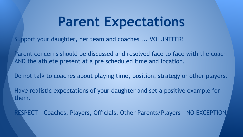### **Parent Expectations**

Support your daughter, her team and coaches ... VOLUNTEER!

Parent concerns should be discussed and resolved face to face with the coach AND the athlete present at a pre scheduled time and location.

Do not talk to coaches about playing time, position, strategy or other players.

Have realistic expectations of your daughter and set a positive example for them.

RESPECT - Coaches, Players, Officials, Other Parents/Players - NO EXCEPTION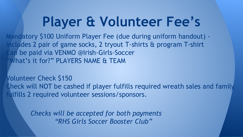## **Player & Volunteer Fee's**

Mandatory \$100 Uniform Player Fee (due during uniform handout) includes 2 pair of game socks, 2 tryout T-shirts & program T-shirt Lan be paid via VENMO @Irish-Girls-Soccer What's it for?" PLAYERS NAME & TEAM

Volunteer Check \$150 Check will NOT be cashed if player fulfills required wreath sales and family fulfills 2 required volunteer sessions/sponsors.

> *Checks will be accepted for both payments "RHS Girls Soccer Booster Club"*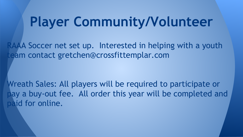### **Player Community/Volunteer**

RAAA Soccer net set up. Interested in helping with a youth team contact gretchen@crossfittemplar.com

Wreath Sales: All players will be required to participate or pay a buy-out fee. All order this year will be completed and paid for online.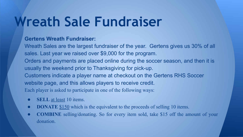## **Wreath Sale Fundraiser**

#### **Gertens Wreath Fundraiser:**

Wreath Sales are the largest fundraiser of the year. Gertens gives us 30% of all sales. Last year we raised over \$9,000 for the program. Orders and payments are placed online during the soccer season, and then it is usually the weekend prior to Thanksgiving for pick-up. Customers indicate a player name at checkout on the Gertens RHS Soccer website page, and this allows players to receive credit. Each player is asked to participate in one of the following ways:

- **SELL** at least 10 items.
- **DONATE** \$150 which is the equivalent to the proceeds of selling 10 items.
- **COMBINE** selling/donating. So for every item sold, take \$15 off the amount of your donation.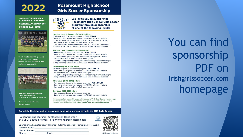#### 2022

2021 - SOUTH SUBURBAN **CONFERENCE CHAMPIONS! SECTION 3AAA CHAMPIONS FINISHED 4th IN STATE** 

# **SECTION 3AAA**

Thank you to our 2021 sponsors for your support this past season! We look forward to your continued sponsorship.



**Rosemount High School Girls Soccer Coach: Gretchen Stramel** 3335 142nd St. W., Rosemount, MN 55068

Alumni - Sponsorship Available **Contact Gretchen** 

#### **Rosemount High School Girls Soccer Sponsorship**

We invite you to support the ROSEMOUNT **Rosemount High School Girls Soccer** program through sponsorship at one of the following levels:

#### Titanium Level (minimum of \$1000+) offers:

. Full page ad in the soccer program - FULL COLOR . Name and link to your business on the RHS Girls Soccer website .2 - Social media game day posts. (Facebook, Instagram & Twitter) · Business thanked at halftime of all home games • The option to provide giveaways on Homecoming/Community night . Complimentary varsity RHS Girls Soccer poster for your business

#### Platinum Level (minimum of \$500) offers: . Half page ad in the soccer program - FULL COLOR . Name and link to your business on the RHS Girls Soccer website

·1 - Social media game day post, (Facebook, Instagram & Twitter) · Business thanked at halftime of all home games • The option to provide giveaways on Homecoming/Community night . Complimentary varsity RHS Girls Soccer poster for your business

#### **Gold Level (\$250-\$499) offers:**

. Quarter page ad in the soccer program - FULL COLOR . Name and link to your business on the RHS Girls Soccer website · Business thanked at halftime of all home games · The option to provide giveaways on Homecoming/Community night . Complimentary varsity RHS Girls Soccer poster for your business

#### Silver Level (\$100-\$249) offers:

. Business card size ad in the soccer program - FULL COLOR . Name and link to your business on the RHS Girls Soccer website · Business thanked at halftime of all home game

#### Blue Level (\$50-\$99) offers:

· Business card size ad in the soccer program . Name and link to your business on the RHS Girls Soccer website

Sponsorships help support the operating budget of RHS Girls' Soccer in many ways. Examples are equipment and uniforms, away game travel costs, team-building activities, and association dues. Thank you for your generous contribution!

Complete the information below and send with a check payable to: RHS Girls Soccer

To confirm sponsorship, contact Brian Henderson at 612-245-1695 or email - brianh@henderson-design.com

Sponsorship checks to: Tracey Thurman - 16627 Farrago Trail, Farmington, MN 55024 **Business Name:** Contact Person: The Contact Person: Email: Phone: The Contract of the Contract of the Contract of the Contract of the Contract of the Contract of the Contract of the Contract of the Contract of the Contract of the Contract of the Contract of the Contract of the Con



@Irish-Girls-Socce

You can find sponsorship PDF on Irishgirlssoccer.com homepage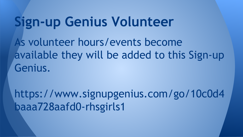### **Sign-up Genius Volunteer**

As volunteer hours/events become available they will be added to this Sign-up Genius.

https://www.signupgenius.com/go/10c0d4 baaa728aafd0-rhsgirls1